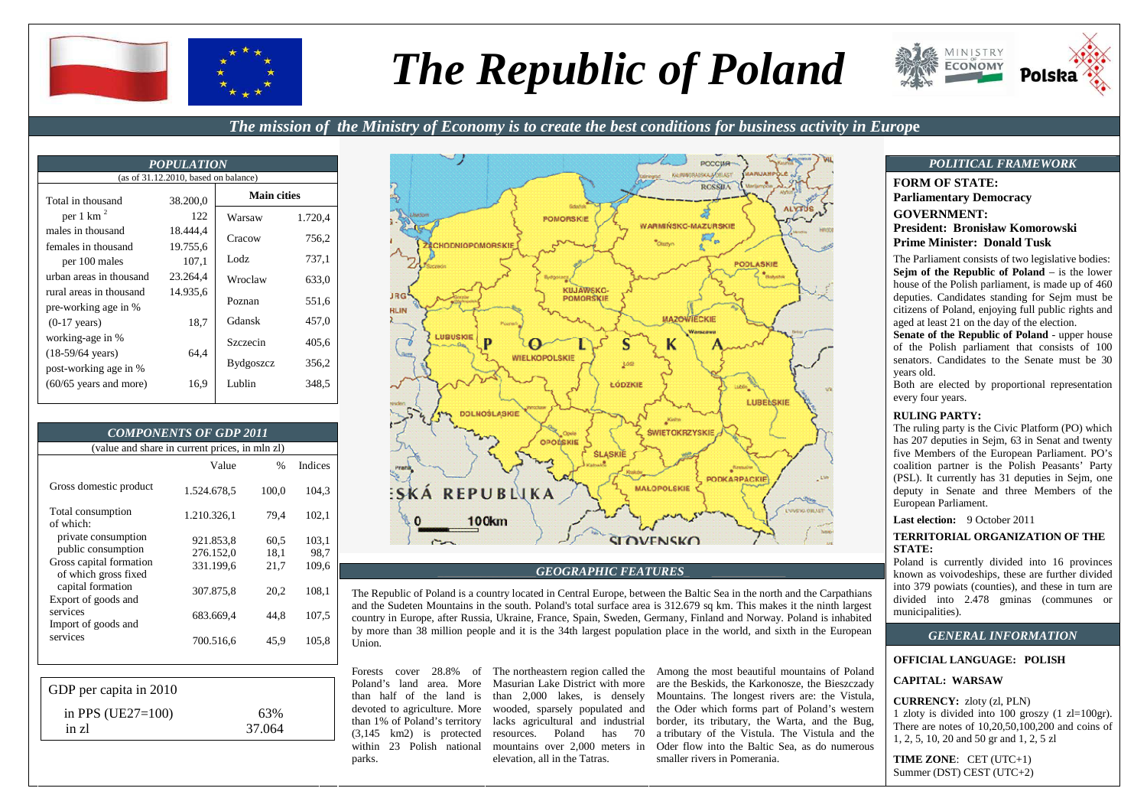

# *The Republic of Poland*



# *The mission of the Ministry of Economy is to create the best conditions for business activity in Europ***e**

| <b>POPULATION</b>                                   |          |                    |         |  |
|-----------------------------------------------------|----------|--------------------|---------|--|
| (as of $31.12.2010$ , based on balance)             |          |                    |         |  |
| Total in thousand                                   | 38.200.0 | <b>Main cities</b> |         |  |
| per 1 km $^2$                                       | 122      | Warsaw             | 1.720,4 |  |
| males in thousand                                   | 18.444.4 | Cracow             | 756,2   |  |
| females in thousand                                 | 19.755,6 |                    |         |  |
| per 100 males                                       | 107,1    | Lodz.              | 737.1   |  |
| urban areas in thousand                             | 23.264,4 | Wroclaw            | 633,0   |  |
| rural areas in thousand<br>pre-working age in %     | 14.935.6 | Poznan             | 551,6   |  |
| $(0-17 \text{ years})$                              | 18,7     | Gdansk             | 457,0   |  |
| working-age in %                                    |          | Szczecin           | 405,6   |  |
| $(18-59/64 \text{ years})$<br>post-working age in % | 64,4     | Bydgoszcz          | 356.2   |  |
| $(60/65$ years and more)                            | 16,9     | Lublin             | 348.5   |  |

| <b>COMPONENTS OF GDP 2011</b>                                        |                        |               |                |  |
|----------------------------------------------------------------------|------------------------|---------------|----------------|--|
| (value and share in current prices, in mln zl)                       |                        |               |                |  |
|                                                                      | Value                  | $\frac{0}{0}$ | <b>Indices</b> |  |
| Gross domestic product                                               | 1.524.678,5            | 100,0         | 104.3          |  |
| Total consumption<br>of which:                                       | 1.210.326,1            | 79,4          | 102,1          |  |
| private consumption<br>public consumption                            | 921.853,8<br>276.152,0 | 60,5<br>18,1  | 103,1<br>98,7  |  |
| Gross capital formation<br>of which gross fixed<br>capital formation | 331.199,6              | 21,7          | 109,6          |  |
| Export of goods and                                                  | 307.875,8              | 20,2          | 108,1          |  |
| services<br>Import of goods and                                      | 683.669,4              | 44.8          | 107.5          |  |
| services                                                             | 700.516,6              | 45,9          | 105,8          |  |

| GDP per capita in 2010 |        |  |
|------------------------|--------|--|
| in PPS $(UE27=100)$    | 63%    |  |
| in zl                  | 37.064 |  |



**GEOGRAPHIC FEATURES**<br>The Republic of Poland is a country located in Central Europe, between the Baltic Sea in the north and the Carpathians<br>and the Sudeten Mountains in the south. Poland's total surface area is 312.679 sq

parks.

Forests cover 28.8% of The northeastern region called the Poland's land area. More Masurian Lake District with more than half of the land is than 2,000 lakes, is densely devoted to agriculture. More wooded, sparsely populated and than 1% of Poland's territory lacks agricultural and industrial (3,145 km2) is protected resources. Poland has 70 within 23 Polish national mountains over 2,000 meters in elevation, all in the Tatras.

Among the most beautiful mountains of Poland are the Beskids, the Karkonosze, the Bieszczady Mountains. The longest rivers are: the Vistula, the Oder which forms part of Poland's western border, its tributary, the Warta, and the Bug, a tributary of the Vistula. The Vistula and the Oder flow into the Baltic Sea, as do numerous smaller rivers in Pomerania.

**FORM OF STATE: Parliamentary Democracy GOVERNMENT: President: Bronisław Komorowski Prime Minister: Donald Tusk** The Parliament consists of two legislative bodies:

 **Sejm of the Republic of Poland** – is the lower house of the Polish parliament, is made up of 460 deputies. Candidates standing for Sejm must be citizens of Poland, enjoying full public rights andaged at least 21 on the day of the election.

 **Senate of the Republic of Poland** - upper house of the Polish parliament that consists of 100 senators. Candidates to the Senate must be 30 years old.

 Both are elected by proportional representation every four years.

#### **RULING PARTY:**

 The ruling party is the Civic Platform (PO) which has 207 deputies in Sejm, 63 in Senat and twenty five Members of the European Parliament. PO's coalition partner is the Polish Peasants' Party (PSL). It currently has 31 deputies in Sejm, one deputy in Senate and three Members of the European Parliament.

**Last election:** 9 October 2011

#### **TERRITORIAL ORGANIZATION OF THE STATE:**

 Poland is currently divided into 16 provinces known as voivodeships, these are further divided into 379 powiats (counties), and these in turn are divided into 2.478 gminas (communes or municipalities).

# *GENERAL INFORMATION*

#### **OFFICIAL LANGUAGE: POLISH**

## **CAPITAL: WARSAW**

**CURRENCY:** zloty (zl, PLN)

 1 zloty is divided into 100 groszy (1 zl=100gr). There are notes of 10,20,50,100,200 and coins of 1, 2, 5, 10, 20 and 50 gr and 1, 2, 5 zl

**TIME ZONE**: CET (UTC+1) Summer (DST) CEST (UTC+2)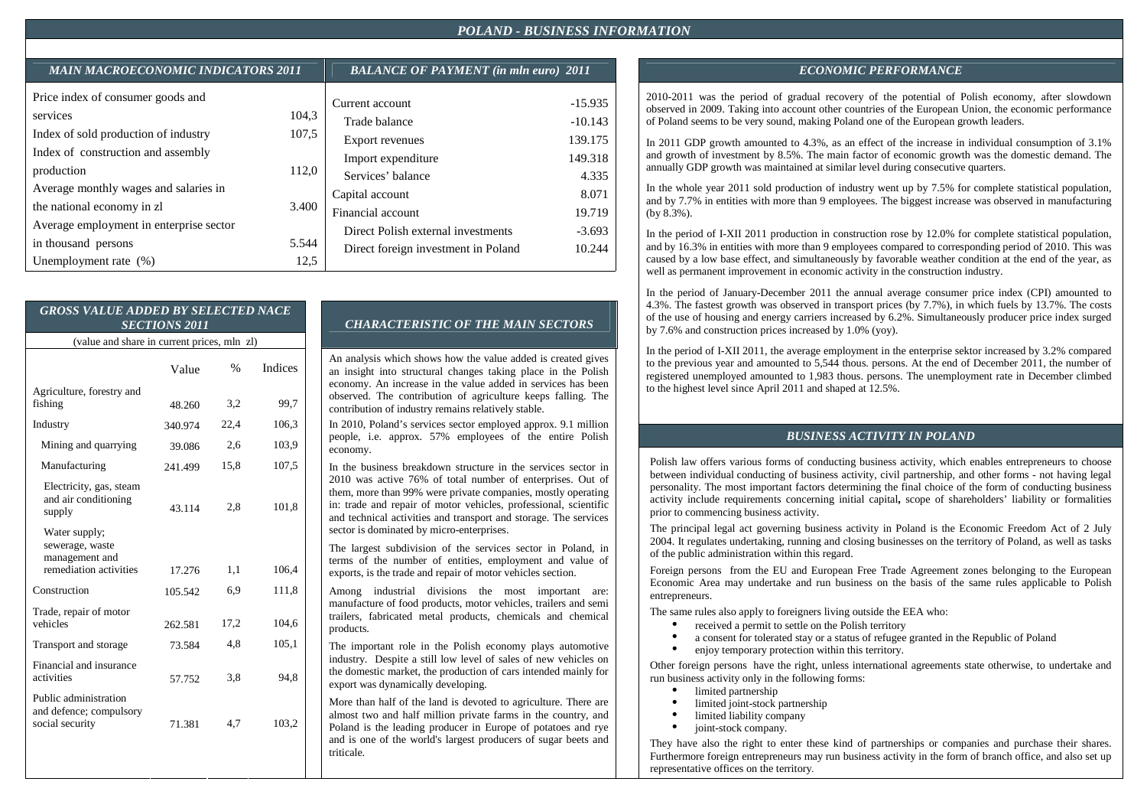| <b>MAIN MACROECONOMIC INDICATORS 2011</b>                                         |                | <b>BALANCE OF PAYMENT</b> (in mln euro) 2011 |                |  |
|-----------------------------------------------------------------------------------|----------------|----------------------------------------------|----------------|--|
| Price index of consumer goods and                                                 | 104,3          | Current account                              | $-15.935$      |  |
| services                                                                          |                | Trade balance                                | $-10.143$      |  |
| Index of sold production of industry                                              | 107,5          | <b>Export revenues</b>                       | 139.175        |  |
| Index of construction and assembly                                                |                | Import expenditure                           | 149.318        |  |
| production<br>Average monthly wages and salaries in<br>the national economy in zl | 112,0<br>3.400 | Services' balance<br>Capital account         | 4.335<br>8.071 |  |
| Average employment in enterprise sector                                           | 5.544          | Financial account                            | 19.719         |  |
| in thousand persons                                                               |                | Direct Polish external investments           | $-3.693$       |  |
| Unemployment rate $(\%)$                                                          | 12,5           | Direct foreign investment in Poland          | 10.244         |  |

#### *GROSS VALUE ADDED BY SELECTED NACE SECTIONS 2011* (value and share in current prices, mln zl)Agriculture, forestry and fishing Industry Mining and quarrying Manufacturing Electricity, gas, steam and air conditioning supply Water supply; sewerage, waste management and remediation activities Construction Trade, repair of motor vehicles Transport and storage Financial and insurance activities Public administration and defence; compulsory Value 48.260 340.974 39.086 241.499 43.114 17.276 105.542 262.581 73.584 57.752  $\frac{0}{6}$ 3,2 22,4 2,6 15,8 2,8 1,1 6,9 17,2 4,8 3,8 Indices 99,7 106,3 103,9 107,5 101,8 106,4 1118 104,6 105,1 94,8

71.381

4,7

103,2

social security

# *CHARACTERISTIC OF THE MAIN SECTORS*

An analysis which shows how the value added is created gives an insight into structural changes taking place in the Polish economy. An increase in the value added in services has been observed. The contribution of agriculture keeps falling. The contribution of industry remains relatively stable.

In 2010, Poland's services sector employed approx. 9.1 million people, i.e. approx. 57% employees of the entire Polish economy.

In the business breakdown structure in the services sector in 2010 was active 76% of total number of enterprises. Out of them, more than 99% were private companies, mostly operating in: trade and repair of motor vehicles, professional, scientific and technical activities and transport and storage. The services sector is dominated by micro-enterprises.

The largest subdivision of the services sector in Poland, in terms of the number of entities, employment and value of exports, is the trade and repair of motor vehicles section.

Among industrial divisions the most important are: manufacture of food products, motor vehicles, trailers and semi trailers, fabricated metal products, chemicals and chemical products.

The important role in the Polish economy plays automotive industry. Despite a still low level of sales of new vehicles on the domestic market, the production of cars intended mainly for export was dynamically developing.

More than half of the land is devoted to agriculture. There are almost two and half million private farms in the country, and Poland is the leading producer in Europe of potatoes and rye and is one of the world's largest producers of sugar beets and triticale.

# *MAIN MACROECONOMIC INDICATORS 2011 BALANCE OF PAYMENT (in mln euro) 2011 ECONOMIC PERFORMANCE*

2010-2011 was the period of gradual recovery of the potential of Polish economy, after slowdown observed in 2009. Taking into account other countries of the European Union, the economic performance of Poland seems to be very sound, making Poland one of the European growth leaders.

In 2011 GDP growth amounted to 4.3%, as an effect of the increase in individual consumption of 3.1% and growth of investment by 8.5%. The main factor of economic growth was the domestic demand. The annually GDP growth was maintained at similar level during consecutive quarters.

In the whole year 2011 sold production of industry went up by 7.5% for complete statistical population, and by 7.7% in entities with more than 9 employees. The biggest increase was observed in manufacturing(by 8.3%).

In the period of I-XII 2011 production in construction rose by 12.0% for complete statistical population, and by 16.3% in entities with more than 9 employees compared to corresponding period of 2010. This was caused by a low base effect, and simultaneously by favorable weather condition at the end of the year, as well as permanent improvement in economic activity in the construction industry.

In the period of January-December 2011 the annual average consumer price index (CPI) amounted to 4.3%. The fastest growth was observed in transport prices (by 7.7%), in which fuels by 13.7%. The costs of the use of housing and energy carriers increased by 6.2%. Simultaneously producer price index surged by 7.6% and construction prices increased by 1.0% (yoy).

In the period of I-XII 2011, the average employment in the enterprise sektor increased by 3.2% compared to the previous year and amounted to 5,544 thous. persons. At the end of December 2011, the number of registered unemployed amounted to 1,983 thous. persons. The unemployment rate in December climbed to the highest level since April 2011 and shaped at 12.5%.

## *BUSINESS ACTIVITY IN POLAND*

Polish law offers various forms of conducting business activity, which enables entrepreneurs to choose between individual conducting of business activity, civil partnership, and other forms - not having legal personality. The most important factors determining the final choice of the form of conducting business activity include requirements concerning initial capital**,** scope of shareholders' liability or formalities prior to commencing business activity.

The principal legal act governing business activity in Poland is the Economic Freedom Act of 2 July 2004. It regulates undertaking, running and closing businesses on the territory of Poland, as well as tasks of the public administration within this regard.

Foreign persons from the EU and European Free Trade Agreement zones belonging to the European Economic Area may undertake and run business on the basis of the same rules applicable to Polish entrepreneurs.

The same rules also apply to foreigners living outside the EEA who:

- •received a permit to settle on the Polish territory
- •a consent for tolerated stay or a status of refugee granted in the Republic of Poland
- •enjoy temporary protection within this territory.

Other foreign persons have the right, unless international agreements state otherwise, to undertake and run business activity only in the following forms:

•limited partnership

•

- •limited joint-stock partnership
- •limited liability company
- joint-stock company.

They have also the right to enter these kind of partnerships or companies and purchase their shares. Furthermore foreign entrepreneurs may run business activity in the form of branch office, and also set up representative offices on the territory.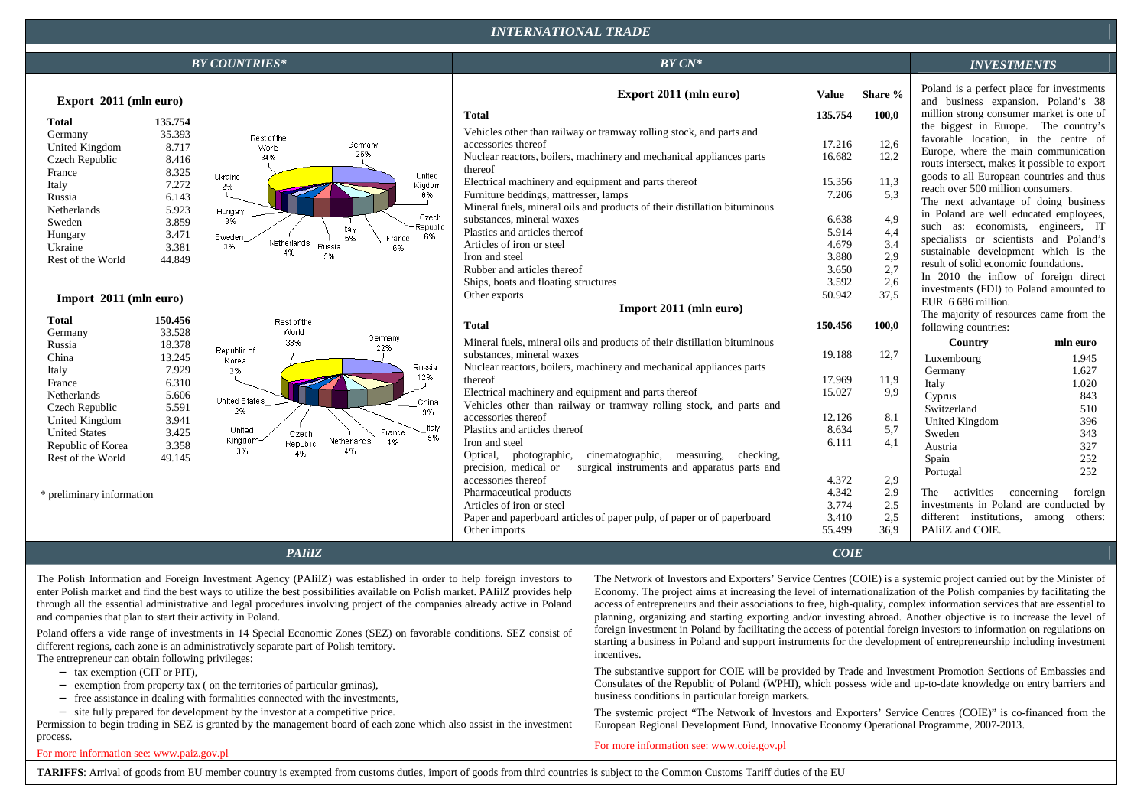# *INTERNATIONAL TRADE*

| <b>BY COUNTRIES*</b>                                                                                                                                                                                                                                                                                                                                                                                                                                                                                                                                                                                                                                                                                                                                                                                                                                                                                                                                                                                                                                                                                                                                                                                                                                                                                                                                                                                                                                                                                                                                                                                                                                                                                                                                                                                                                                                                                                                                                                                                                                                                                                                                                                                                                                                                                                                                                                                                             |                                                                                                                                                                                                                                                                                                                                                                                                                                                             | $BY CN^*$                                                                                                                                   |                                                        |                                          | <b>INVESTMENTS</b>                                                                                                                                                                                                                                                                                                           |                                                                          |
|----------------------------------------------------------------------------------------------------------------------------------------------------------------------------------------------------------------------------------------------------------------------------------------------------------------------------------------------------------------------------------------------------------------------------------------------------------------------------------------------------------------------------------------------------------------------------------------------------------------------------------------------------------------------------------------------------------------------------------------------------------------------------------------------------------------------------------------------------------------------------------------------------------------------------------------------------------------------------------------------------------------------------------------------------------------------------------------------------------------------------------------------------------------------------------------------------------------------------------------------------------------------------------------------------------------------------------------------------------------------------------------------------------------------------------------------------------------------------------------------------------------------------------------------------------------------------------------------------------------------------------------------------------------------------------------------------------------------------------------------------------------------------------------------------------------------------------------------------------------------------------------------------------------------------------------------------------------------------------------------------------------------------------------------------------------------------------------------------------------------------------------------------------------------------------------------------------------------------------------------------------------------------------------------------------------------------------------------------------------------------------------------------------------------------------|-------------------------------------------------------------------------------------------------------------------------------------------------------------------------------------------------------------------------------------------------------------------------------------------------------------------------------------------------------------------------------------------------------------------------------------------------------------|---------------------------------------------------------------------------------------------------------------------------------------------|--------------------------------------------------------|------------------------------------------|------------------------------------------------------------------------------------------------------------------------------------------------------------------------------------------------------------------------------------------------------------------------------------------------------------------------------|--------------------------------------------------------------------------|
| Export 2011 (mln euro)                                                                                                                                                                                                                                                                                                                                                                                                                                                                                                                                                                                                                                                                                                                                                                                                                                                                                                                                                                                                                                                                                                                                                                                                                                                                                                                                                                                                                                                                                                                                                                                                                                                                                                                                                                                                                                                                                                                                                                                                                                                                                                                                                                                                                                                                                                                                                                                                           |                                                                                                                                                                                                                                                                                                                                                                                                                                                             | Export 2011 (mln euro)                                                                                                                      | Value                                                  | Share %                                  | Poland is a perfect place for investments<br>and business expansion. Poland's 38                                                                                                                                                                                                                                             |                                                                          |
| 135.754<br><b>Total</b><br>Germany<br>35.393<br>Rest of the<br>Germany<br>United Kingdom<br>8.717<br><b>World</b><br>26%<br>34%<br>8.416<br>Czech Republic<br>8.325<br>France<br>United<br>Ukraine<br>7.272<br>Kigdom<br>Italy<br>2%                                                                                                                                                                                                                                                                                                                                                                                                                                                                                                                                                                                                                                                                                                                                                                                                                                                                                                                                                                                                                                                                                                                                                                                                                                                                                                                                                                                                                                                                                                                                                                                                                                                                                                                                                                                                                                                                                                                                                                                                                                                                                                                                                                                             | <b>Total</b><br>accessories thereof<br>thereof<br>Electrical machinery and equipment and parts thereof                                                                                                                                                                                                                                                                                                                                                      | Vehicles other than railway or tramway rolling stock, and parts and<br>Nuclear reactors, boilers, machinery and mechanical appliances parts | 135.754<br>17.216<br>16.682<br>15.356                  | 100,0<br>12,6<br>12,2<br>11,3            | million strong consumer market is one of<br>the biggest in Europe. The country's<br>favorable location, in the centre of<br>Europe, where the main communication<br>routs intersect, makes it possible to export<br>goods to all European countries and thus                                                                 |                                                                          |
| 6%<br>Russia<br>6.143<br>5.923<br>Netherlands<br>Hungary<br>Czech<br>3%<br>Sweden<br>3.859<br>Republic<br>talv<br>3.471<br>Hungary<br>6%<br>Sweden<br>5%<br>France<br>Netherlands<br>Russia<br>3%<br>3.381<br>6%<br>Ukraine<br>4%<br>5%<br>Rest of the World<br>44.849                                                                                                                                                                                                                                                                                                                                                                                                                                                                                                                                                                                                                                                                                                                                                                                                                                                                                                                                                                                                                                                                                                                                                                                                                                                                                                                                                                                                                                                                                                                                                                                                                                                                                                                                                                                                                                                                                                                                                                                                                                                                                                                                                           | Furniture beddings, mattresser, lamps<br>substances, mineral waxes<br>Plastics and articles thereof<br>Articles of iron or steel<br>Iron and steel<br>Rubber and articles thereof                                                                                                                                                                                                                                                                           | Mineral fuels, mineral oils and products of their distillation bituminous                                                                   | 7.206<br>6.638<br>5.914<br>4.679<br>3.880<br>3.650     | 5.3<br>4,9<br>4,4<br>3,4<br>2,9<br>2,7   | reach over 500 million consumers.<br>The next advantage of doing business<br>in Poland are well educated employees,<br>such as: economists, engineers, IT<br>specialists or scientists and Poland's<br>sustainable development which is the<br>result of solid economic foundations.<br>In 2010 the inflow of foreign direct |                                                                          |
| Import $2011$ (mln euro)                                                                                                                                                                                                                                                                                                                                                                                                                                                                                                                                                                                                                                                                                                                                                                                                                                                                                                                                                                                                                                                                                                                                                                                                                                                                                                                                                                                                                                                                                                                                                                                                                                                                                                                                                                                                                                                                                                                                                                                                                                                                                                                                                                                                                                                                                                                                                                                                         | Ships, boats and floating structures<br>Other exports                                                                                                                                                                                                                                                                                                                                                                                                       | Import 2011 (mln euro)                                                                                                                      | 3.592<br>50.942                                        | 2.6<br>37,5                              | investments (FDI) to Poland amounted to<br>EUR 6 686 million.<br>The majority of resources came from the                                                                                                                                                                                                                     |                                                                          |
| <b>Total</b><br>150.456<br>Rest of the<br>World<br>33.528<br>Germany<br>Germany<br>33%<br>Russia<br>18.378<br>22%                                                                                                                                                                                                                                                                                                                                                                                                                                                                                                                                                                                                                                                                                                                                                                                                                                                                                                                                                                                                                                                                                                                                                                                                                                                                                                                                                                                                                                                                                                                                                                                                                                                                                                                                                                                                                                                                                                                                                                                                                                                                                                                                                                                                                                                                                                                | <b>Total</b>                                                                                                                                                                                                                                                                                                                                                                                                                                                | Mineral fuels, mineral oils and products of their distillation bituminous                                                                   | 150.456                                                | 100,0                                    | following countries:<br>Country                                                                                                                                                                                                                                                                                              | mln euro                                                                 |
| Republic of<br>China<br>13.245<br>Korea<br>Russia<br>7.929<br>2%<br>Italy<br>12%<br>6.310<br>France<br>Netherlands<br>5.606<br>United States<br>China<br>Czech Republic<br>5.591<br>2%<br>9%<br>United Kingdom<br>3.941<br>taly<br>United<br>France<br><b>United States</b><br>3.425<br>Czech<br>5%<br>Kingdom-<br>Netherlands<br>4%<br>Republic<br>Republic of Korea<br>3.358<br>3%<br>4%<br>4%<br>Rest of the World<br>49.145                                                                                                                                                                                                                                                                                                                                                                                                                                                                                                                                                                                                                                                                                                                                                                                                                                                                                                                                                                                                                                                                                                                                                                                                                                                                                                                                                                                                                                                                                                                                                                                                                                                                                                                                                                                                                                                                                                                                                                                                  | substances, mineral waxes<br>Nuclear reactors, boilers, machinery and mechanical appliances parts<br>thereof<br>Electrical machinery and equipment and parts thereof<br>Vehicles other than railway or tramway rolling stock, and parts and<br>accessories thereof<br>Plastics and articles thereof<br>Iron and steel<br>Optical, photographic, cinematographic, measuring, checking,<br>precision, medical or surgical instruments and apparatus parts and |                                                                                                                                             | 19.188<br>17.969<br>15.027<br>12.126<br>8.634<br>6.111 | 12,7<br>11,9<br>9,9<br>8,1<br>5,7<br>4,1 | Luxembourg<br>Germany<br>Italy<br>Cyprus<br>Switzerland<br><b>United Kingdom</b><br>Sweden<br>Austria<br>Spain<br>Portugal                                                                                                                                                                                                   | 1.945<br>1.627<br>1.020<br>843<br>510<br>396<br>343<br>327<br>252<br>252 |
| * preliminary information                                                                                                                                                                                                                                                                                                                                                                                                                                                                                                                                                                                                                                                                                                                                                                                                                                                                                                                                                                                                                                                                                                                                                                                                                                                                                                                                                                                                                                                                                                                                                                                                                                                                                                                                                                                                                                                                                                                                                                                                                                                                                                                                                                                                                                                                                                                                                                                                        | accessories thereof<br>Pharmaceutical products<br>Articles of iron or steel<br>Other imports                                                                                                                                                                                                                                                                                                                                                                | Paper and paperboard articles of paper pulp, of paper or of paperboard                                                                      | 4.372<br>4.342<br>3.774<br>3.410<br>55.499             | 2,9<br>2,9<br>2,5<br>2.5<br>36.9         | The activities concerning<br>investments in Poland are conducted by<br>different institutions, among others:<br>PAIiIZ and COIE.                                                                                                                                                                                             | foreign                                                                  |
| <b>PAIiIZ</b><br>COIE                                                                                                                                                                                                                                                                                                                                                                                                                                                                                                                                                                                                                                                                                                                                                                                                                                                                                                                                                                                                                                                                                                                                                                                                                                                                                                                                                                                                                                                                                                                                                                                                                                                                                                                                                                                                                                                                                                                                                                                                                                                                                                                                                                                                                                                                                                                                                                                                            |                                                                                                                                                                                                                                                                                                                                                                                                                                                             |                                                                                                                                             |                                                        |                                          |                                                                                                                                                                                                                                                                                                                              |                                                                          |
| The Network of Investors and Exporters' Service Centres (COIE) is a systemic project carried out by the Minister of<br>The Polish Information and Foreign Investment Agency (PAIIIZ) was established in order to help foreign investors to<br>enter Polish market and find the best ways to utilize the best possibilities available on Polish market. PAIIZ provides help<br>Economy. The project aims at increasing the level of internationalization of the Polish companies by facilitating the<br>through all the essential administrative and legal procedures involving project of the companies already active in Poland<br>access of entrepreneurs and their associations to free, high-quality, complex information services that are essential to<br>and companies that plan to start their activity in Poland.<br>planning, organizing and starting exporting and/or investing abroad. Another objective is to increase the level of<br>foreign investment in Poland by facilitating the access of potential foreign investors to information on regulations on<br>Poland offers a vide range of investments in 14 Special Economic Zones (SEZ) on favorable conditions. SEZ consist of<br>starting a business in Poland and support instruments for the development of entrepreneurship including investment<br>different regions, each zone is an administratively separate part of Polish territory.<br>incentives.<br>The entrepreneur can obtain following privileges:<br>The substantive support for COIE will be provided by Trade and Investment Promotion Sections of Embassies and<br>- tax exemption (CIT or PIT),<br>Consulates of the Republic of Poland (WPHI), which possess wide and up-to-date knowledge on entry barriers and<br>exemption from property tax (on the territories of particular gminas),<br>$\overline{\phantom{m}}$<br>business conditions in particular foreign markets.<br>- free assistance in dealing with formalities connected with the investments,<br>- site fully prepared for development by the investor at a competitive price.<br>The systemic project "The Network of Investors and Exporters' Service Centres (COIE)" is co-financed from the<br>Permission to begin trading in SEZ is granted by the management board of each zone which also assist in the investment<br>European Regional Development Fund, Innovative Economy Operational Programme, 2007-2013. |                                                                                                                                                                                                                                                                                                                                                                                                                                                             |                                                                                                                                             |                                                        |                                          |                                                                                                                                                                                                                                                                                                                              |                                                                          |

process. European Regional Development Fund, Innovative Economy Operational Programme, 2007-2013. For more information see: www.coie.gov.pl

For more information see: www.paiz.gov.pl

TARIFFS: Arrival of goods from EU member country is exempted from customs duties, import of goods from third countries is subject to the Common Customs Tariff duties of the EU